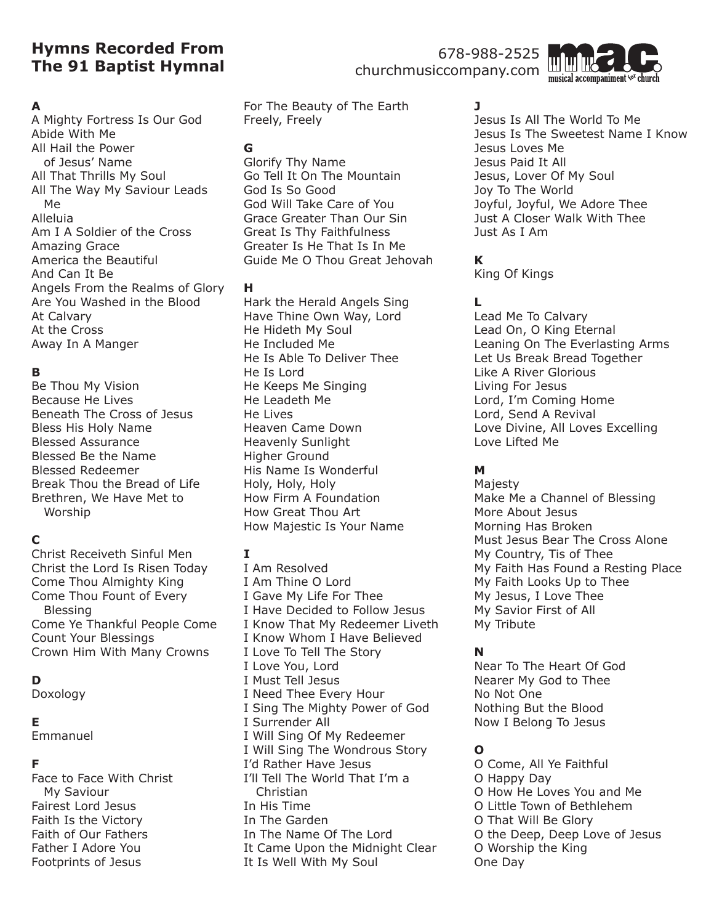# **Hymns Recorded From The 91 Baptist Hymnal**

### 678-988-2525 churchmusiccompany.com



### **A**

A Mighty Fortress Is Our God Abide With Me All Hail the Power of Jesus' Name All That Thrills My Soul All The Way My Saviour Leads Me Alleluia Am I A Soldier of the Cross Amazing Grace America the Beautiful And Can It Be Angels From the Realms of Glory Are You Washed in the Blood At Calvary At the Cross Away In A Manger

### **B**

Be Thou My Vision Because He Lives Beneath The Cross of Jesus Bless His Holy Name Blessed Assurance Blessed Be the Name Blessed Redeemer Break Thou the Bread of Life Brethren, We Have Met to Worship

## **C**

Christ Receiveth Sinful Men Christ the Lord Is Risen Today Come Thou Almighty King Come Thou Fount of Every Blessing Come Ye Thankful People Come Count Your Blessings Crown Him With Many Crowns

## **D**

Doxology

#### **E**

Emmanuel

### **F**

Face to Face With Christ My Saviour Fairest Lord Jesus Faith Is the Victory Faith of Our Fathers Father I Adore You Footprints of Jesus

For The Beauty of The Earth Freely, Freely

### **G**

Glorify Thy Name Go Tell It On The Mountain God Is So Good God Will Take Care of You Grace Greater Than Our Sin Great Is Thy Faithfulness Greater Is He That Is In Me Guide Me O Thou Great Jehovah

#### **H**

Hark the Herald Angels Sing Have Thine Own Way, Lord He Hideth My Soul He Included Me He Is Able To Deliver Thee He Is Lord He Keeps Me Singing He Leadeth Me He Lives Heaven Came Down Heavenly Sunlight Higher Ground His Name Is Wonderful Holy, Holy, Holy How Firm A Foundation How Great Thou Art How Majestic Is Your Name

#### **I**

I Am Resolved I Am Thine O Lord I Gave My Life For Thee I Have Decided to Follow Jesus I Know That My Redeemer Liveth I Know Whom I Have Believed I Love To Tell The Story I Love You, Lord I Must Tell Jesus I Need Thee Every Hour I Sing The Mighty Power of God I Surrender All I Will Sing Of My Redeemer I Will Sing The Wondrous Story I'd Rather Have Jesus I'll Tell The World That I'm a Christian In His Time In The Garden In The Name Of The Lord It Came Upon the Midnight Clear It Is Well With My Soul

## **J**

Jesus Is All The World To Me Jesus Is The Sweetest Name I Know Jesus Loves Me Jesus Paid It All Jesus, Lover Of My Soul Joy To The World Joyful, Joyful, We Adore Thee Just A Closer Walk With Thee Just As I Am

## **K**

King Of Kings

## **L**

Lead Me To Calvary Lead On, O King Eternal Leaning On The Everlasting Arms Let Us Break Bread Together Like A River Glorious Living For Jesus Lord, I'm Coming Home Lord, Send A Revival Love Divine, All Loves Excelling Love Lifted Me

## **M**

Majesty Make Me a Channel of Blessing More About Jesus Morning Has Broken Must Jesus Bear The Cross Alone My Country, Tis of Thee My Faith Has Found a Resting Place My Faith Looks Up to Thee My Jesus, I Love Thee My Savior First of All My Tribute

## **N**

Near To The Heart Of God Nearer My God to Thee No Not One Nothing But the Blood Now I Belong To Jesus

## **O**

O Come, All Ye Faithful O Happy Day O How He Loves You and Me O Little Town of Bethlehem O That Will Be Glory O the Deep, Deep Love of Jesus O Worship the King One Day